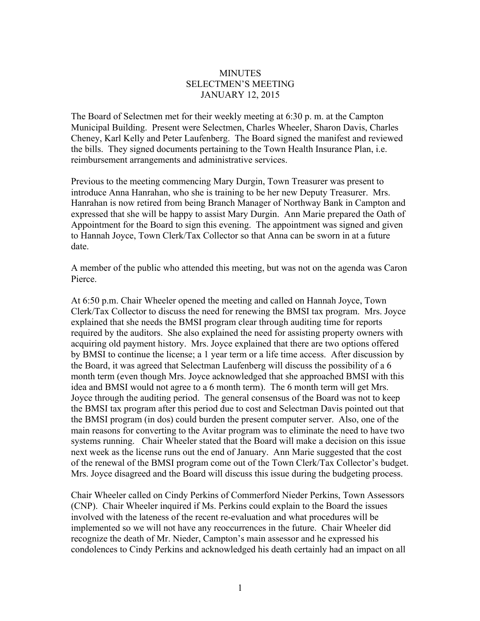## **MINUTES** SELECTMEN'S MEETING JANUARY 12, 2015

The Board of Selectmen met for their weekly meeting at 6:30 p. m. at the Campton Municipal Building. Present were Selectmen, Charles Wheeler, Sharon Davis, Charles Cheney, Karl Kelly and Peter Laufenberg. The Board signed the manifest and reviewed the bills. They signed documents pertaining to the Town Health Insurance Plan, i.e. reimbursement arrangements and administrative services.

Previous to the meeting commencing Mary Durgin, Town Treasurer was present to introduce Anna Hanrahan, who she is training to be her new Deputy Treasurer. Mrs. Hanrahan is now retired from being Branch Manager of Northway Bank in Campton and expressed that she will be happy to assist Mary Durgin. Ann Marie prepared the Oath of Appointment for the Board to sign this evening. The appointment was signed and given to Hannah Joyce, Town Clerk/Tax Collector so that Anna can be sworn in at a future date.

A member of the public who attended this meeting, but was not on the agenda was Caron Pierce.

At 6:50 p.m. Chair Wheeler opened the meeting and called on Hannah Joyce, Town Clerk/Tax Collector to discuss the need for renewing the BMSI tax program. Mrs. Joyce explained that she needs the BMSI program clear through auditing time for reports required by the auditors. She also explained the need for assisting property owners with acquiring old payment history. Mrs. Joyce explained that there are two options offered by BMSI to continue the license; a 1 year term or a life time access. After discussion by the Board, it was agreed that Selectman Laufenberg will discuss the possibility of a 6 month term (even though Mrs. Joyce acknowledged that she approached BMSI with this idea and BMSI would not agree to a 6 month term). The 6 month term will get Mrs. Joyce through the auditing period. The general consensus of the Board was not to keep the BMSI tax program after this period due to cost and Selectman Davis pointed out that the BMSI program (in dos) could burden the present computer server. Also, one of the main reasons for converting to the Avitar program was to eliminate the need to have two systems running. Chair Wheeler stated that the Board will make a decision on this issue next week as the license runs out the end of January. Ann Marie suggested that the cost of the renewal of the BMSI program come out of the Town Clerk/Tax Collector's budget. Mrs. Joyce disagreed and the Board will discuss this issue during the budgeting process.

Chair Wheeler called on Cindy Perkins of Commerford Nieder Perkins, Town Assessors (CNP). Chair Wheeler inquired if Ms. Perkins could explain to the Board the issues involved with the lateness of the recent re-evaluation and what procedures will be implemented so we will not have any reoccurrences in the future. Chair Wheeler did recognize the death of Mr. Nieder, Campton's main assessor and he expressed his condolences to Cindy Perkins and acknowledged his death certainly had an impact on all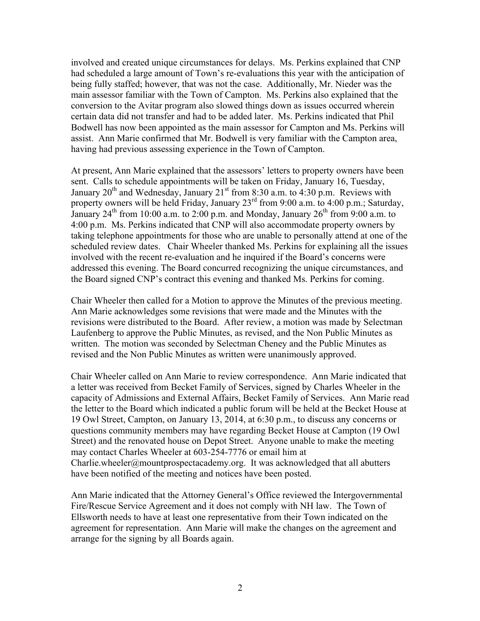involved and created unique circumstances for delays. Ms. Perkins explained that CNP had scheduled a large amount of Town's re-evaluations this year with the anticipation of being fully staffed; however, that was not the case. Additionally, Mr. Nieder was the main assessor familiar with the Town of Campton. Ms. Perkins also explained that the conversion to the Avitar program also slowed things down as issues occurred wherein certain data did not transfer and had to be added later. Ms. Perkins indicated that Phil Bodwell has now been appointed as the main assessor for Campton and Ms. Perkins will assist. Ann Marie confirmed that Mr. Bodwell is very familiar with the Campton area, having had previous assessing experience in the Town of Campton.

At present, Ann Marie explained that the assessors' letters to property owners have been sent. Calls to schedule appointments will be taken on Friday, January 16, Tuesday, January  $20^{th}$  and Wednesday, January  $21^{st}$  from 8:30 a.m. to 4:30 p.m. Reviews with property owners will be held Friday, January 23<sup>rd</sup> from 9:00 a.m. to 4:00 p.m.; Saturday, January  $24^{\text{th}}$  from 10:00 a.m. to 2:00 p.m. and Monday, January  $26^{\text{th}}$  from 9:00 a.m. to 4:00 p.m. Ms. Perkins indicated that CNP will also accommodate property owners by taking telephone appointments for those who are unable to personally attend at one of the scheduled review dates. Chair Wheeler thanked Ms. Perkins for explaining all the issues involved with the recent re-evaluation and he inquired if the Board's concerns were addressed this evening. The Board concurred recognizing the unique circumstances, and the Board signed CNP's contract this evening and thanked Ms. Perkins for coming.

Chair Wheeler then called for a Motion to approve the Minutes of the previous meeting. Ann Marie acknowledges some revisions that were made and the Minutes with the revisions were distributed to the Board. After review, a motion was made by Selectman Laufenberg to approve the Public Minutes, as revised, and the Non Public Minutes as written. The motion was seconded by Selectman Cheney and the Public Minutes as revised and the Non Public Minutes as written were unanimously approved.

Chair Wheeler called on Ann Marie to review correspondence. Ann Marie indicated that a letter was received from Becket Family of Services, signed by Charles Wheeler in the capacity of Admissions and External Affairs, Becket Family of Services. Ann Marie read the letter to the Board which indicated a public forum will be held at the Becket House at 19 Owl Street, Campton, on January 13, 2014, at 6:30 p.m., to discuss any concerns or questions community members may have regarding Becket House at Campton (19 Owl Street) and the renovated house on Depot Street. Anyone unable to make the meeting may contact Charles Wheeler at 603-254-7776 or email him at Charlie.wheeler@mountprospectacademy.org. It was acknowledged that all abutters have been notified of the meeting and notices have been posted.

Ann Marie indicated that the Attorney General's Office reviewed the Intergovernmental Fire/Rescue Service Agreement and it does not comply with NH law. The Town of Ellsworth needs to have at least one representative from their Town indicated on the agreement for representation. Ann Marie will make the changes on the agreement and arrange for the signing by all Boards again.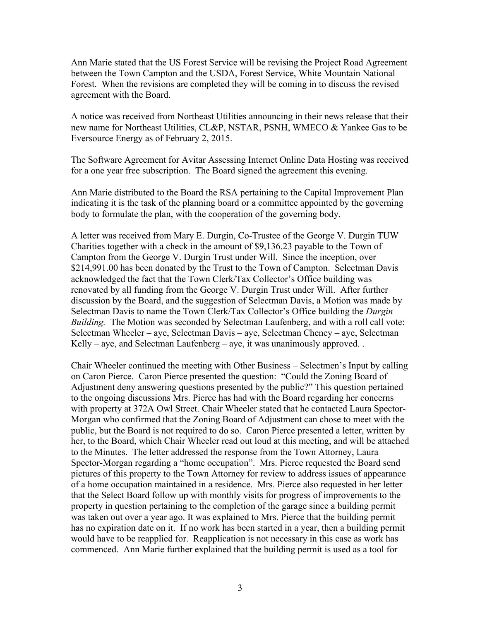Ann Marie stated that the US Forest Service will be revising the Project Road Agreement between the Town Campton and the USDA, Forest Service, White Mountain National Forest. When the revisions are completed they will be coming in to discuss the revised agreement with the Board.

A notice was received from Northeast Utilities announcing in their news release that their new name for Northeast Utilities, CL&P, NSTAR, PSNH, WMECO & Yankee Gas to be Eversource Energy as of February 2, 2015.

The Software Agreement for Avitar Assessing Internet Online Data Hosting was received for a one year free subscription. The Board signed the agreement this evening.

Ann Marie distributed to the Board the RSA pertaining to the Capital Improvement Plan indicating it is the task of the planning board or a committee appointed by the governing body to formulate the plan, with the cooperation of the governing body.

A letter was received from Mary E. Durgin, Co-Trustee of the George V. Durgin TUW Charities together with a check in the amount of \$9,136.23 payable to the Town of Campton from the George V. Durgin Trust under Will. Since the inception, over \$214,991.00 has been donated by the Trust to the Town of Campton. Selectman Davis acknowledged the fact that the Town Clerk/Tax Collector's Office building was renovated by all funding from the George V. Durgin Trust under Will. After further discussion by the Board, and the suggestion of Selectman Davis, a Motion was made by Selectman Davis to name the Town Clerk/Tax Collector's Office building the *Durgin Building.* The Motion was seconded by Selectman Laufenberg, and with a roll call vote: Selectman Wheeler – aye, Selectman Davis – aye, Selectman Cheney – aye, Selectman Kelly – aye, and Selectman Laufenberg – aye, it was unanimously approved.

Chair Wheeler continued the meeting with Other Business – Selectmen's Input by calling on Caron Pierce. Caron Pierce presented the question: "Could the Zoning Board of Adjustment deny answering questions presented by the public?" This question pertained to the ongoing discussions Mrs. Pierce has had with the Board regarding her concerns with property at 372A Owl Street. Chair Wheeler stated that he contacted Laura Spector-Morgan who confirmed that the Zoning Board of Adjustment can chose to meet with the public, but the Board is not required to do so. Caron Pierce presented a letter, written by her, to the Board, which Chair Wheeler read out loud at this meeting, and will be attached to the Minutes. The letter addressed the response from the Town Attorney, Laura Spector-Morgan regarding a "home occupation". Mrs. Pierce requested the Board send pictures of this property to the Town Attorney for review to address issues of appearance of a home occupation maintained in a residence. Mrs. Pierce also requested in her letter that the Select Board follow up with monthly visits for progress of improvements to the property in question pertaining to the completion of the garage since a building permit was taken out over a year ago. It was explained to Mrs. Pierce that the building permit has no expiration date on it. If no work has been started in a year, then a building permit would have to be reapplied for. Reapplication is not necessary in this case as work has commenced. Ann Marie further explained that the building permit is used as a tool for